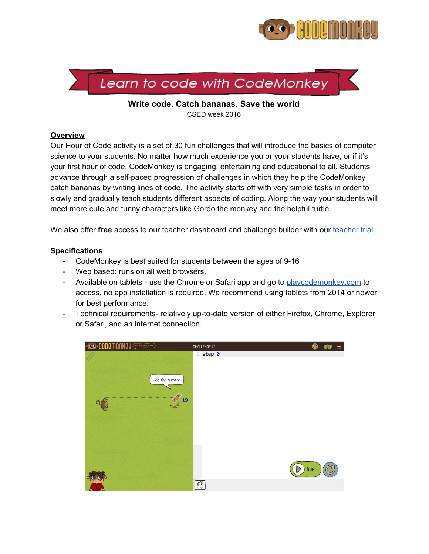



**Write code. Catch bananas. Save the world** CSED week 2016

#### **Overview**

Our Hour of Code activity is a set of 30 fun challenges that will introduce the basics of computer science to your students. No matter how much experience you or your students have, or if it's your first hour of code, CodeMonkey is engaging, entertaining and educational to all. Students advance through a self-paced progression of challenges in which they help the CodeMonkey catch bananas by writing lines of code. The activity starts off with very simple tasks in order to slowly and gradually teach students different aspects of coding. Along the way your students will meet more cute and funny characters like Gordo the monkey and the helpful turtle.

We also offer **free** access to our [teacher](http://www.playcodemonkey.com/teachers) dashboard and challenge builder with our teacher trial.

### **Specifications**

- CodeMonkey is best suited for students between the ages of 9-16
- Web based: runs on all web browsers.
- Available on tablets use the Chrome or Safari app and go to [playcodemonkey.com](http://playcodemonkey.com/) to access, no app installation is required. We recommend using tablets from 2014 or newer for best performance.
- Technical requirements- relatively up-to-date version of either Firefox, Chrome, Explorer or Safari, and an internet connection.

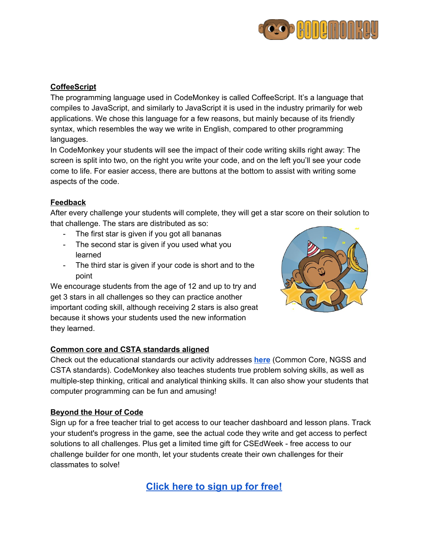

# **CoffeeScript**

The programming language used in CodeMonkey is called CoffeeScript. It's a language that compiles to JavaScript, and similarly to JavaScript it is used in the industry primarily for web applications. We chose this language for a few reasons, but mainly because of its friendly syntax, which resembles the way we write in English, compared to other programming languages.

In CodeMonkey your students will see the impact of their code writing skills right away: The screen is split into two, on the right you write your code, and on the left you'll see your code come to life. For easier access, there are buttons at the bottom to assist with writing some aspects of the code.

# **Feedback**

After every challenge your students will complete, they will get a star score on their solution to that challenge. The stars are distributed as so:

- The first star is given if you got all bananas
- The second star is given if you used what you learned
- The third star is given if your code is short and to the point

We encourage students from the age of 12 and up to try and get 3 stars in all challenges so they can practice another important coding skill, although receiving 2 stars is also great because it shows your students used the new information they learned.



# **Common core and CSTA standards aligned**

Check out the educational standards our activity addresses **[here](https://docs.google.com/document/d/16UYAETJBWLQ3e9HyEkTJjlqgyAF3bU5n6RHV2GZqv_Y/pub)** (Common Core, NGSS and CSTA standards). CodeMonkey also teaches students true problem solving skills, as well as multiple-step thinking, critical and analytical thinking skills. It can also show your students that computer programming can be fun and amusing!

# **Beyond the Hour of Code**

Sign up for a free teacher trial to get access to our teacher dashboard and lesson plans. Track your student's progress in the game, see the actual code they write and get access to perfect solutions to all challenges. Plus get a limited time gift for CSEdWeek - free access to our challenge builder for one month, let your students create their own challenges for their classmates to solve!

**[Click](http://www.playcodemonkey.com/teachers) here to sign up for free!**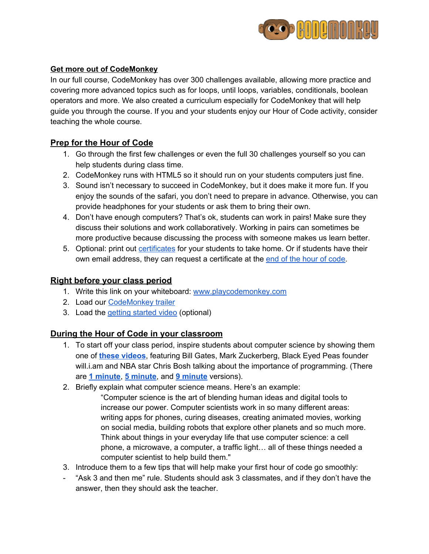

### **Get more out of CodeMonkey**

In our full course, CodeMonkey has over 300 challenges available, allowing more practice and covering more advanced topics such as for loops, until loops, variables, conditionals, boolean operators and more. We also created a curriculum especially for CodeMonkey that will help guide you through the course. If you and your students enjoy our Hour of Code activity, consider teaching the whole course.

# **Prep for the Hour of Code**

- 1. Go through the first few challenges or even the full 30 challenges yourself so you can help students during class time.
- 2. CodeMonkey runs with HTML5 so it should run on your students computers just fine.
- 3. Sound isn't necessary to succeed in CodeMonkey, but it does make it more fun. If you enjoy the sounds of the safari, you don't need to prepare in advance. Otherwise, you can provide headphones for your students or ask them to bring their own.
- 4. Don't have enough computers? That's ok, students can work in pairs! Make sure they discuss their solutions and work collaboratively. Working in pairs can sometimes be more productive because discussing the process with someone makes us learn better.
- 5. Optional: print out [certificates](http://code.org/certificates) for your students to take home. Or if students have their own email address, they can request a certificate at the end of the hour of [code.](http://code.org/congrats)

# **Right before your class period**

- 1. Write this link on your whiteboard: [www.playcodemonkey.com](http://www.playcodemonkey.com/)
- 2. Load our [CodeMonkey trailer](http://www.youtube.com/watch?v=o3geZ_0r_3Q)
- 3. Load the [getting started](https://www.youtube.com/watch?v=2tOrwsFCbHo) video (optional)

# **During the Hour of Code in your classroom**

- 1. To start off your class period, inspire students about computer science by showing them one of **[these videos](http://youtube.com/codeorg)**, featuring Bill Gates, Mark Zuckerberg, Black Eyed Peas founder will.i.am and NBA star Chris Bosh talking about the importance of programming. (There are **[1 minute](https://www.youtube.com/watch?v=qYZF6oIZtfc)**, **[5 minute](https://www.youtube.com/watch?v=nKIu9yen5nc)**, and **9 [minute](https://www.youtube.com/watch?v=dU1xS07N-FA)** versions).
- 2. Briefly explain what computer science means. Here's an example:
	- "Computer science is the art of blending human ideas and digital tools to increase our power. Computer scientists work in so many different areas: writing apps for phones, curing diseases, creating animated movies, working on social media, building robots that explore other planets and so much more. Think about things in your everyday life that use computer science: a cell phone, a microwave, a computer, a traffic light… all of these things needed a computer scientist to help build them."
- 3. Introduce them to a few tips that will help make your first hour of code go smoothly:
- "Ask 3 and then me" rule. Students should ask 3 classmates, and if they don't have the answer, then they should ask the teacher.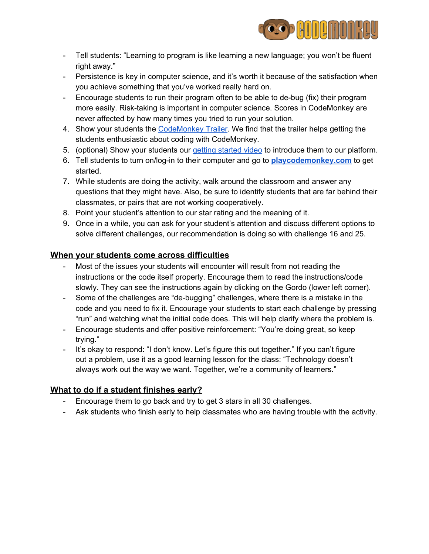

- Tell students: "Learning to program is like learning a new language; you won't be fluent right away."
- Persistence is key in computer science, and it's worth it because of the satisfaction when you achieve something that you've worked really hard on.
- Encourage students to run their program often to be able to de-bug (fix) their program more easily. Risk-taking is important in computer science. Scores in CodeMonkey are never affected by how many times you tried to run your solution.
- 4. Show your students the [CodeMonkey Trailer.](http://www.youtube.com/watch?v=o3geZ_0r_3Q) We find that the trailer helps getting the students enthusiastic about coding with CodeMonkey.
- 5. (optional) Show your students our *getting [started](https://www.youtube.com/watch?v=2tOrwsFCbHo) video* to introduce them to our platform.
- 6. Tell students to turn on/log-in to their computer and go to **[playcodemonkey.com](http://playcodemonkey.com/)** to get started.
- 7. While students are doing the activity, walk around the classroom and answer any questions that they might have. Also, be sure to identify students that are far behind their classmates, or pairs that are not working cooperatively.
- 8. Point your student's attention to our star rating and the meaning of it.
- 9. Once in a while, you can ask for your student's attention and discuss different options to solve different challenges, our recommendation is doing so with challenge 16 and 25.

# **When your students come across difficulties**

- Most of the issues your students will encounter will result from not reading the instructions or the code itself properly. Encourage them to read the instructions/code slowly. They can see the instructions again by clicking on the Gordo (lower left corner).
- Some of the challenges are "de-bugging" challenges, where there is a mistake in the code and you need to fix it. Encourage your students to start each challenge by pressing "run" and watching what the initial code does. This will help clarify where the problem is.
- Encourage students and offer positive reinforcement: "You're doing great, so keep trying."
- It's okay to respond: "I don't know. Let's figure this out together." If you can't figure out a problem, use it as a good learning lesson for the class: "Technology doesn't always work out the way we want. Together, we're a community of learners."

# **What to do if a student finishes early?**

- Encourage them to go back and try to get 3 stars in all 30 challenges.
- Ask students who finish early to help classmates who are having trouble with the activity.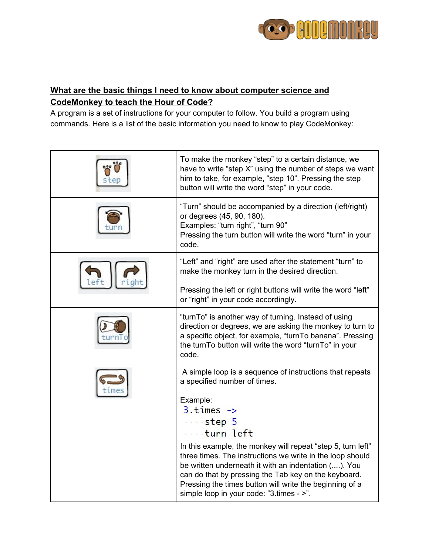

# **What are the basic things I need to know about computer science and CodeMonkey to teach the Hour of Code?**

A program is a set of instructions for your computer to follow. You build a program using commands. Here is a list of the basic information you need to know to play CodeMonkey:

|  | To make the monkey "step" to a certain distance, we<br>have to write "step X" using the number of steps we want<br>him to take, for example, "step 10". Pressing the step<br>button will write the word "step" in your code.                                                                                                                    |
|--|-------------------------------------------------------------------------------------------------------------------------------------------------------------------------------------------------------------------------------------------------------------------------------------------------------------------------------------------------|
|  | "Turn" should be accompanied by a direction (left/right)<br>or degrees (45, 90, 180).<br>Examples: "turn right", "turn 90"<br>Pressing the turn button will write the word "turn" in your<br>code.                                                                                                                                              |
|  | "Left" and "right" are used after the statement "turn" to<br>make the monkey turn in the desired direction.                                                                                                                                                                                                                                     |
|  | Pressing the left or right buttons will write the word "left"<br>or "right" in your code accordingly.                                                                                                                                                                                                                                           |
|  | "turnTo" is another way of turning. Instead of using<br>direction or degrees, we are asking the monkey to turn to<br>a specific object, for example, "turnTo banana". Pressing<br>the turnTo button will write the word "turnTo" in your<br>code.                                                                                               |
|  | A simple loop is a sequence of instructions that repeats<br>a specified number of times.                                                                                                                                                                                                                                                        |
|  | Example:<br>$3. times \rightarrow$<br>step 5<br>turn left                                                                                                                                                                                                                                                                                       |
|  | In this example, the monkey will repeat "step 5, turn left"<br>three times. The instructions we write in the loop should<br>be written underneath it with an indentation (). You<br>can do that by pressing the Tab key on the keyboard.<br>Pressing the times button will write the beginning of a<br>simple loop in your code: "3.times - >". |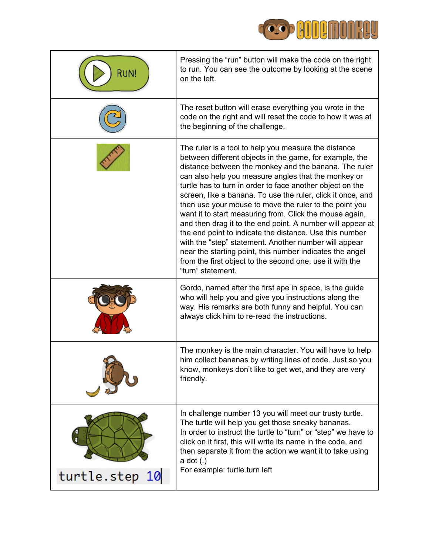

| <b>RUN!</b>    | Pressing the "run" button will make the code on the right<br>to run. You can see the outcome by looking at the scene<br>on the left.                                                                                                                                                                                                                                                                                                                                                                                                                                                                                                                                                                                                                                                                            |
|----------------|-----------------------------------------------------------------------------------------------------------------------------------------------------------------------------------------------------------------------------------------------------------------------------------------------------------------------------------------------------------------------------------------------------------------------------------------------------------------------------------------------------------------------------------------------------------------------------------------------------------------------------------------------------------------------------------------------------------------------------------------------------------------------------------------------------------------|
|                | The reset button will erase everything you wrote in the<br>code on the right and will reset the code to how it was at<br>the beginning of the challenge.                                                                                                                                                                                                                                                                                                                                                                                                                                                                                                                                                                                                                                                        |
|                | The ruler is a tool to help you measure the distance<br>between different objects in the game, for example, the<br>distance between the monkey and the banana. The ruler<br>can also help you measure angles that the monkey or<br>turtle has to turn in order to face another object on the<br>screen, like a banana. To use the ruler, click it once, and<br>then use your mouse to move the ruler to the point you<br>want it to start measuring from. Click the mouse again,<br>and then drag it to the end point. A number will appear at<br>the end point to indicate the distance. Use this number<br>with the "step" statement. Another number will appear<br>near the starting point, this number indicates the angel<br>from the first object to the second one, use it with the<br>"turn" statement. |
|                | Gordo, named after the first ape in space, is the guide<br>who will help you and give you instructions along the<br>way. His remarks are both funny and helpful. You can<br>always click him to re-read the instructions.                                                                                                                                                                                                                                                                                                                                                                                                                                                                                                                                                                                       |
|                | The monkey is the main character. You will have to help<br>him collect bananas by writing lines of code. Just so you<br>know, monkeys don't like to get wet, and they are very<br>friendly.                                                                                                                                                                                                                                                                                                                                                                                                                                                                                                                                                                                                                     |
| turtle.step 10 | In challenge number 13 you will meet our trusty turtle.<br>The turtle will help you get those sneaky bananas.<br>In order to instruct the turtle to "turn" or "step" we have to<br>click on it first, this will write its name in the code, and<br>then separate it from the action we want it to take using<br>$a$ dot $(.)$<br>For example: turtle.turn left                                                                                                                                                                                                                                                                                                                                                                                                                                                  |